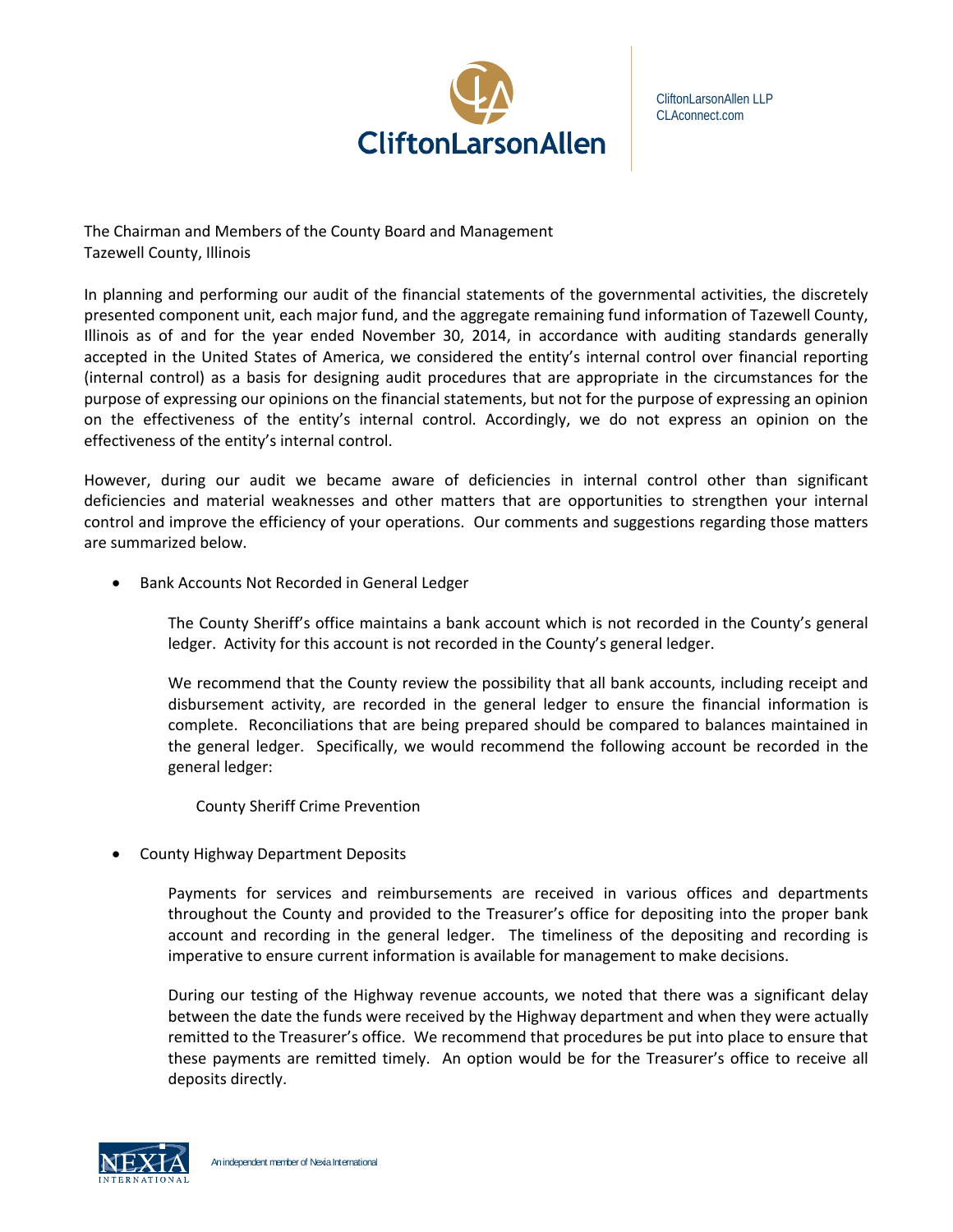

CliftonLarsonAllen LLP CLAconnect.com

The Chairman and Members of the County Board and Management Tazewell County, Illinois

In planning and performing our audit of the financial statements of the governmental activities, the discretely presented component unit, each major fund, and the aggregate remaining fund information of Tazewell County, Illinois as of and for the year ended November 30, 2014, in accordance with auditing standards generally accepted in the United States of America, we considered the entity's internal control over financial reporting (internal control) as a basis for designing audit procedures that are appropriate in the circumstances for the purpose of expressing our opinions on the financial statements, but not for the purpose of expressing an opinion on the effectiveness of the entity's internal control. Accordingly, we do not express an opinion on the effectiveness of the entity's internal control.

However, during our audit we became aware of deficiencies in internal control other than significant deficiencies and material weaknesses and other matters that are opportunities to strengthen your internal control and improve the efficiency of your operations. Our comments and suggestions regarding those matters are summarized below.

Bank Accounts Not Recorded in General Ledger

The County Sheriff's office maintains a bank account which is not recorded in the County's general ledger. Activity for this account is not recorded in the County's general ledger.

We recommend that the County review the possibility that all bank accounts, including receipt and disbursement activity, are recorded in the general ledger to ensure the financial information is complete. Reconciliations that are being prepared should be compared to balances maintained in the general ledger. Specifically, we would recommend the following account be recorded in the general ledger:

County Sheriff Crime Prevention

County Highway Department Deposits

Payments for services and reimbursements are received in various offices and departments throughout the County and provided to the Treasurer's office for depositing into the proper bank account and recording in the general ledger. The timeliness of the depositing and recording is imperative to ensure current information is available for management to make decisions.

During our testing of the Highway revenue accounts, we noted that there was a significant delay between the date the funds were received by the Highway department and when they were actually remitted to the Treasurer's office. We recommend that procedures be put into place to ensure that these payments are remitted timely. An option would be for the Treasurer's office to receive all deposits directly.